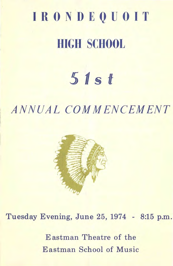# **IRONDEQUOIT HIGH SCHOOL**

## 5 *11* **§ t**

### ANNUAL COM MENCEMENT



Tuesday Evening, June 25, 1974 - 8:15 p.m.

Eastman Theatre of the Eastman School of Music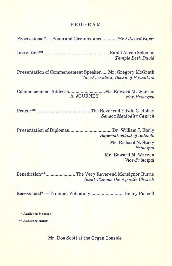#### PROGRAM

Processional\*- Pomp and Circumstance ........... *Sir Edward Elgar*  Invocation\*\* ................................................... Rabbi Aaron Solomon *Temple Beth David*  Presentation of Commencement Speaker ..... Mr. Gregory McGrath *Vice-President, Board of Education*  Commencement Address ............................ Mr. Edward M. Warren A JOURNEY *Vice-Principal*  Prayer\*\* .......................................... The Reverend Edwin C. Holley *SenecaMethodist Church*  Presentation of Diplomas ................................... Dr. William J. Early *Superintendent of Schools*  Mr. Richard N. Stacy *Principal*  Mr. Edward M. Warren *Vice-Principal*  Benediction\*\* ....................... The Very Reverend Monsignor Burns · *Saint Thomas the Apostle Church* 

Recessional\*-Trumpet Voluntary.......................... Henry Purcell

\* Audience is seated

\*\* Audience stands

Mr. Don Scott at the Organ Console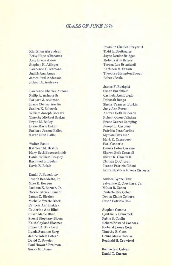#### *CLASS OF JUNE 1974*

Kim Ellen Ahrendsen Betty Hope Albaranes Amy Bruce Alden Stephen K. Allinger Lawrence F. Altmann Judith Ann Ames James Paul Anderson Robert A. Andrews

Lawrence Charles Arnone Philip A. Ashworth Barbara J. Atkinson Bruce Cheney Austin Sandra E. Babcock William Joseph Baccari Timothy Michael Backus Bryan M. Bailey Diane Marie Baker Barbara Jeanne Ballou Karen Ruth Ballou

Walter Basko Kathleen M. Bastuk Mary Beth Bauerschmidt Daniel William Beagley Raymond L. Beeler David E. Belair

Daniel J. Benedetto Joseph Benedetto, Jr. Mike K. Bergen Jackson E. Berner, Jr. Rocco Patrick Bianchi James C. Bircher Michelle Yvette Black Patricia Ann Blakley Catherine Ann Blind Susan Marie Blind Sherri Stephany Bloom Keith Gaylord Bloomer Robert E. Borchard Lynda Susanne Borg Janine Adele Botash David C. Bowden Paul Howard Braiman Susan M. Braun

Franklin Charles Brayer II Todd L. Breitmaier Joyce Denise Bridges Melinda Ann Briese Teresa Lee Broadwell Kathleen M. Brown Theodore Hampton Brown Robert Brule

James F. Buckpitt Susan Burchfield Carmela Ann Burgio Deborah Burgo Sheila Frances Burkin Judy Ann Burns Andrea Beth Calderon Robert Owen Callahan Bruce Garret Camping Joseph L. Carbone Patricia Jean Carlino Myriam Carrasco Mark E. Cassebeer Earl Cassorla Dennis Peter Cerame Sharon Beth Cerasoli Oliver K. Church III Thomas D. Church Joanne Patricia Cidoni Laura Eustocia Rivera Cisneros

Andrea Lynne Clair Salvatore R. Cocchiara, Jr. Milton R. Cohen Paulette Eve Cohen Donna Elaine Colburn Susan Patricia Cole

Stephen Cometa Cynthia L. Comstock PattieS. Conlin Robert Edward Connors Richard James Cook Timothy E. Coon Donna Marie Cotriss Reginald H. Crawford

Bonnie Lou Culver Daniel T. Curran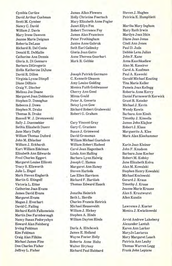Cynthia Curtice James Allan Flowers Steven J. Hughes Catherine Ann Dennis Anne Theresa Gearhart Barbara DiGregorio Alan M. Kassirer Hollis Katherine DiJune Carol A. Kaufman David R. Dillon Joseph Patrick Germano Paul A. Kawecki Russell W. J. Dronzewski Timothy J. Kinsella Sally J. Duennebier Cary Vincent Gray James John Klajbor Bethia Elizabeth Duerr Gary C. Graziano Robert J. Klass Jane Mary Duffy Susan J. Grimwood Marguerite A. Klee William Thomas Duford David Grossman Mark Alan Kleehammer John M. Eblacker William Michael Gustafson William J. Eckhardt William Robert Hadeed Karin Jean Kleiner Kurt William Edelman Carol Jean Hagen bach John F. Knudson Elizabeth Ann Edwards Linda Ann Halling Barbara Jane Kocher Fred Charles Eggert Barbara Lynn Halwig Robert M. Kofsky Margaret Louise Ellicott Joseph C. Hamza Jane Elizabeth Kolva TracyS. Ellsworth Margaret Ann Haney Alan M. Kowalski Julie L. Engel Steven Harkola Stephen Henry Kowalski Mark Steven Englerth Lee Ellen Harrison Michael Kozlowski Martin G. Etingoff Richard F. Hartlieb Gerard J. Kraus Victoria L. Etter Thomas Edward Hauck Timothy J. Kraus Catherine Joan Evans Jeanne Marie Krause James David Evans Jonatha Heinrich Alan S. Krautwurst Margaret Evans Beth L. Herdle Allen Kundin Megan J. Everhart Charles Francis Hetrick David C. Failing Michael Heuseveldt Lawrence J. Kuster Richard Keith Falkenstein William J. Hickey Monica J. Kwiatkowski Martin Dee Farmborough Stephen A. Hinds Nancy Susan Fedoryshyn William Dayton Hinds Arvid Andrew Lakeberg Howard Alan Feinberg **Alexander Lantuh** Irving Feldman Darla A. Hitchcock Karen Ann Larker Kim Feldman James E. Holland MaryJo Lastarza Craig Alan Filkins Wayne Foster Holly Mary Margaret Leach Michael James Fine Roberta Anne Holtz Patricia Ann Leahy Don Charles Fisher Walter Hrytsay Thomas Warren Legg Jeffrey L. Fisher Richard Paul Hubbard Frank John Lepiane

David Arthur Cushman Holly Christine Foertsch Patricia E. Humphlett Scott M. Cymber Mary Elizabeth Anne Fogler Nancy C. David Janet Ellyn Fox Martha Mary Ingham William J. Davis Robert Terrence Foy Mary Ruth Irwin Mary Irene Dawson James Alan Francisco Marilyn Joan Itkin Jeanne Marie Deignan Peter Frothingham Diane Jean Jonas Roberta DeLaus Janice Anne Gabruk Cindi Ann Jones Richard R. Del Conte Seth Earl Galinsky Paul D. Juda Donald E. DeMallie Gloria Jean Gatto Debbie Lena Julian Gloria A. Di Gennaro Mark R. Gebbie Anna Kaschkadiew

Virginia Lynne Dimpfl C. Kenneth Gleason Gerald Michael Keating Diane DiRisio Amy Louise Golding Tina Marie Keller Craig V. Discher Monica Faith Goldwasser Pamela Joan Kellogg Melissa Joe Doane Cherry Ann Good Roberta Anne Kerry Stephen D. Donoghue Peter A. Goverts Grant R. Kessler Rebecca J. Dows Betsy Lynn Gow Michael J. Kevin Stephen N. Drake Richard Robert Grabowski Wendy Kewin Thomas R. Drake Robert G. Graham Barbara Ann Kindt

Margaret Joan Dobbertin Minna Gould Daniel Farnsworth Kerwick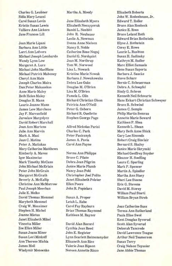Charles G. Leubner Martha A. Moody Elizabeth Roberts Carol Susan Levin Jane Elizabeth Myers Edward T. Roller

Jean Marie Lipani Donna Anne Nielsen Elyse J. Rothstein Barbara Ann Little Nancy S. Noble Corey E. Rowe Lorri Ann Lofvers Catherine Rose Nogaj Laurie L. Rushton Michael Joseph Lombardo Daniel G. Nordquist Susan H. Sadinsky Wendy Lynn Low Jean M. Northrup Kathryn M. Sadler Margaret A. Lurz Tom W. Norwood Marc Elliot Samuels Michael John MacBlane Lisa L. Nowack Ilene Susan Saporta Michael Patrick Mahoney Kristine Marie Nowak Barbara J. Saucke Cheryl Ann Main Barbara J. Nowakowska Steve Scharr Joseph Charles Maira Debra Lee Oaks Ber nie C. Scheuerman Dan Peter Makauskas Douglas M. O'Brien Debra A. Schoepfel Anne Marie Maley Lisa M. O'Brien Sindy G. Schron Beth Helen Maley Pamela L. Olin Kenneth Neil Schwartz<br>Douglas H. Mann Richard Christian Olson Hans Eckart Christian ( Laurie Jeanne Mann Patricia Ann O'Neill Bruce R. Schwind James Lew Marchese Peter G. Osborn James C. Semple Jay F. Marcusfield Richard R. Ouellette Philip Martin Semrau Jaroslaw Margolycz Stephen George Page Annette Marie Seward David Robert Marshall Kathleen P. Shea Joan Ann Martens Alfred Nickolas Parisi Kenneth L. Shean Julie Ann Marvin Charles C. Park Mary Beth Anne Shick Mark A. Masi Peter Pasicznyk Gary Lee Simonds Jean C. Matina James A. Pavia Robert Craig Sinclair Peter A. Matiukas Carol Ann Payne Bernard S. Skalny Mary Catherine Matthews Janice Marie Skrynski Kimberly A. Maves Norma Ann Philipps Michael Geoffrey Snyder Igor Maximciuc Bruce C. Pilato Eleanor H. Soeffing Mark Timothy McCann Debra Jean Pilgrim Laura C. Sparling John Michael McErlain Janice Marie Plumb Mark P. Spencer Peter John McGrain Nancy Jean Pohl Martin A. Spindler Margaret McGrath Christopher Joel Polito Martha Ann Stacy Beverly A. McKallip Janet Elisabeth Polster Sheri Lee Steene Christine Ann McMorrow Ellen Poore Eric G. Stevens Paul Joseph Meechan John R. Popielarz David M. Storey Julie E. Melko William Paul Storti David Thomas Memmel Susan A. Proper William Bryan Streb Mary beth Memmel Letah L. Rabe Craig W. Messimer Carol Fay Rayburn Joan Catherine Suss Stephen H. Michel Brian Thomas Raymond Teresa Ann Sutherland Joanne Mietus Kathleen M. Raynor Paula Elise Swol Janet Elizabeth Mikel Kent Douglas Syverud Vincetta Miller David Alan Record Scott Alan Syverud

Kristie Susan Lewis Elizabeth Neczyporuk Bruce Alan Ronbeck Valliere Ann Lickers Bambi L. Nesbitt Janice E. Ross Jane Frances Lill John R. Neubauer Bruce Leland Roth

Zoe Ellen Miller Cynthia Jean Reed Deborah Tancrede Susan Joann Miner John E. Register David Lawrence Teague Susan Lor i Minkoff Lynn Scarlett Reimensnyder Arthur Neil Teamer son Ann Therese Mishia Elizaneth Ann Rice Susan Terry James Moll Valerie Joan Rips on Craig Nelson Teyssier Wladymir Monoenko Noreen Annette Rizzo Jane Abbie Thomas

Sidia Mary Leuzzi John W. Rodenhouse, Jr. Leslie A. Newman Edward Brian Rothstein Douglas H. Mann Richard Christian Olson Hans Eckart Christian Schweyer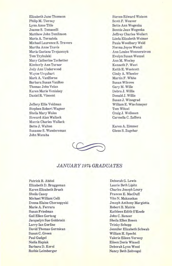Elizabeth June Thomson Philip M. Tierney Lynn Anne Title Joanne S. Tomaselli Matthew John Tomlinson Maria A. Tornatola Michael Laurence S. Travers Martha Anne Travis Maria Gaetana Trojanczyk Tom Trybulski Mary Catherine Tschetter Kimberly Ann Turner Jody Ann Underwood Wayne Urquhart Mark A. VanHorne Barbara Susan VanRoo Thomas John Velan Karen Marie Veniskey Daniel R. Vincent

Jeffery Ellis Voldman Stephen Robert Wagner Sheila Mary Wales Howard Alan Wallack Morris Charles Wallack Bette J. Walton Suzanne S. Wanders man John Wans ha

Steven Edward Watson Scott F. Weaver Bette Ann Wegenka Bonnie Jean Wegenka Jeffrey Charles Weilert Linda Elizabeth Weimer Paula Woodbury Weld Norma Joyce Wend! Ann Louise Wennerstrom Evelyn Susan Wenzel Ann M. Wesley Kenneth P. West Keith E. Westcott Cindy A. Wheeler Martin F. White Susan Wilcove GaryM. Wille Debra J. Willis Donald J. Willis Susan J. Winograd William E. Wischmeyer Tom Witzel Craig J. Wollesen Carmella C. Zaffora

Karen A. Zimmer Glenn S. Zugehar



#### *JANUARY 1974 GRADUATES*

Patrick R. Abitol Elizabeth D. Bruggeman Karen Elizabeth Brush Sheila Casey Mic hael William Celli Donna Elaine Chornopyski Marie A. Ferrara Susan Friedman Gail Ellen Gertzog Jacquelyn Sue Goldstein Larry Ian Gorfine David Thomas Gormican Susan C. Green Paul Gudgel Nadia Hapiak Barbara D. Kor ol Ruthie Leimberger

Deborah G. Lewis Laurie Beth Lipitz Charles Joseph Loury Frances E. MacDuff Vito N. Makauskas Joseph Anthony Margiotta Robert B. Mutrie Kathleen Edith O'Keefe John C. Reneer Sheila Ellen Rosen Trinky Schepp Jennifer Elizabeth Schwab William H. Specht Valerie Eileen Verwey Eileen Doris Wissel! Deborah Lynn Wood Nancy Beth Zeitvogel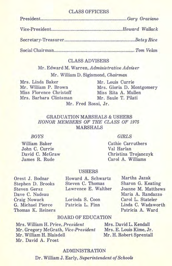#### CLASS OFFICERS

#### CLASS ADVISERS

Mr . Edward M. Warren, *Administrative Adviser*  Mr. William D. Sigismond, *Chairman* 

Mrs. Linda Baker Mr. Louis Currie Mr. William P. Brown Mrs. Gloria D. Montgomery Miss Florence Christoff Miss Rita A. Mullen Mrs. Barbara Clintsman

Mr. Fred Rossi, Jr.

#### GRADUATION MARSHALS & USHERS *HONOR MEMBERS OF THE CLASS OF 1975*  MARSHALS

#### *BOYS*  William Baker

John C. Currie David C. McGraw James R. Rude

#### Cathie Carruthers Val Harlan

Christina Trojanczyk Carol A. Williams

#### USHERS

Orest J. Bodnar Stephen D. Brooks Steven Gersz Dave C. Nadeau Craig Nowack G. Michael Pierce Thomas K. Reiners Howard A. Schwartz Steven C. Thomas Lawrence E. Walther

Lorinda S. Coon Patricia L. Finn

Martha Jazak Sharon G. Keating Joanne M. Matthews Maria A. Randazzo Carol L. Stateler Linda C. Wadsworth Patricia A. Ward

#### BOARD OF EDUCATION

Mrs. William H. Price, *President*  Mr. Gregory McGrath, *Vice-President*  Mr. William H. Blaisdell Mr. David A. Frost

Mrs. David L. Kendall Mrs. E. Louis Kime, Jr. Mr. H. Robert Sprentall

#### ADMINISTRATION

Dr. William J. Early, *Superintendent of Schools* 

#### *GIRLS*